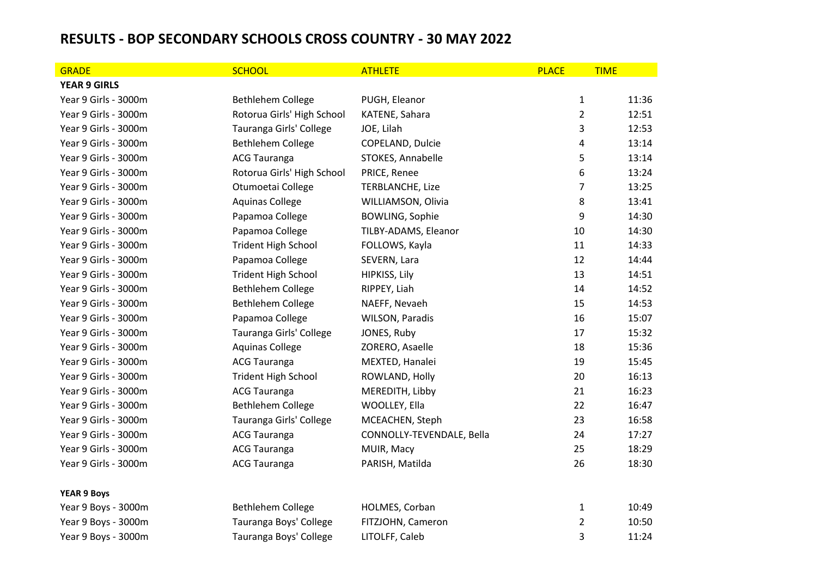## **RESULTS - BOP SECONDARY SCHOOLS CROSS COUNTRY - 30 MAY 2022**

| <b>GRADE</b>         | <b>SCHOOL</b>              | <b>ATHLETE</b>            | <b>PLACE</b>   | <b>TIME</b> |
|----------------------|----------------------------|---------------------------|----------------|-------------|
| <b>YEAR 9 GIRLS</b>  |                            |                           |                |             |
| Year 9 Girls - 3000m | Bethlehem College          | PUGH, Eleanor             | $\mathbf{1}$   | 11:36       |
| Year 9 Girls - 3000m | Rotorua Girls' High School | KATENE, Sahara            | $\overline{2}$ | 12:51       |
| Year 9 Girls - 3000m | Tauranga Girls' College    | JOE, Lilah                | 3              | 12:53       |
| Year 9 Girls - 3000m | Bethlehem College          | COPELAND, Dulcie          | 4              | 13:14       |
| Year 9 Girls - 3000m | <b>ACG Tauranga</b>        | STOKES, Annabelle         | 5              | 13:14       |
| Year 9 Girls - 3000m | Rotorua Girls' High School | PRICE, Renee              | 6              | 13:24       |
| Year 9 Girls - 3000m | Otumoetai College          | <b>TERBLANCHE, Lize</b>   | $\overline{7}$ | 13:25       |
| Year 9 Girls - 3000m | <b>Aquinas College</b>     | WILLIAMSON, Olivia        | 8              | 13:41       |
| Year 9 Girls - 3000m | Papamoa College            | <b>BOWLING, Sophie</b>    | 9              | 14:30       |
| Year 9 Girls - 3000m | Papamoa College            | TILBY-ADAMS, Eleanor      | 10             | 14:30       |
| Year 9 Girls - 3000m | <b>Trident High School</b> | FOLLOWS, Kayla            | 11             | 14:33       |
| Year 9 Girls - 3000m | Papamoa College            | SEVERN, Lara              | 12             | 14:44       |
| Year 9 Girls - 3000m | <b>Trident High School</b> | HIPKISS, Lily             | 13             | 14:51       |
| Year 9 Girls - 3000m | Bethlehem College          | RIPPEY, Liah              | 14             | 14:52       |
| Year 9 Girls - 3000m | Bethlehem College          | NAEFF, Nevaeh             | 15             | 14:53       |
| Year 9 Girls - 3000m | Papamoa College            | WILSON, Paradis           | 16             | 15:07       |
| Year 9 Girls - 3000m | Tauranga Girls' College    | JONES, Ruby               | 17             | 15:32       |
| Year 9 Girls - 3000m | <b>Aquinas College</b>     | ZORERO, Asaelle           | 18             | 15:36       |
| Year 9 Girls - 3000m | <b>ACG Tauranga</b>        | MEXTED, Hanalei           | 19             | 15:45       |
| Year 9 Girls - 3000m | <b>Trident High School</b> | ROWLAND, Holly            | 20             | 16:13       |
| Year 9 Girls - 3000m | <b>ACG Tauranga</b>        | MEREDITH, Libby           | 21             | 16:23       |
| Year 9 Girls - 3000m | Bethlehem College          | WOOLLEY, Ella             | 22             | 16:47       |
| Year 9 Girls - 3000m | Tauranga Girls' College    | MCEACHEN, Steph           | 23             | 16:58       |
| Year 9 Girls - 3000m | <b>ACG Tauranga</b>        | CONNOLLY-TEVENDALE, Bella | 24             | 17:27       |
| Year 9 Girls - 3000m | <b>ACG Tauranga</b>        | MUIR, Macy                | 25             | 18:29       |
| Year 9 Girls - 3000m | <b>ACG Tauranga</b>        | PARISH, Matilda           | 26             | 18:30       |
| <b>YEAR 9 Boys</b>   |                            |                           |                |             |
| Year 9 Boys - 3000m  | Bethlehem College          | HOLMES, Corban            | $\mathbf{1}$   | 10:49       |
| Year 9 Boys - 3000m  | Tauranga Boys' College     | FITZJOHN, Cameron         | $\overline{2}$ | 10:50       |
| Year 9 Boys - 3000m  | Tauranga Boys' College     | LITOLFF, Caleb            | 3              | 11:24       |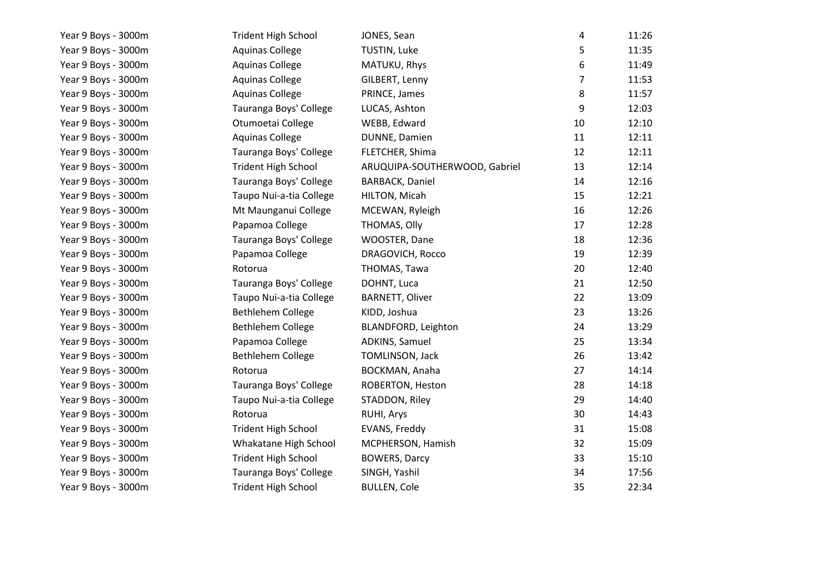| Year 9 Boys - 3000m | <b>Trident High School</b> | JONES, Sean                   | 4              | 11:26 |
|---------------------|----------------------------|-------------------------------|----------------|-------|
| Year 9 Boys - 3000m | <b>Aquinas College</b>     | TUSTIN, Luke                  | 5              | 11:35 |
| Year 9 Boys - 3000m | <b>Aquinas College</b>     | MATUKU, Rhys                  | 6              | 11:49 |
| Year 9 Boys - 3000m | <b>Aquinas College</b>     | GILBERT, Lenny                | $\overline{7}$ | 11:53 |
| Year 9 Boys - 3000m | <b>Aquinas College</b>     | PRINCE, James                 | 8              | 11:57 |
| Year 9 Boys - 3000m | Tauranga Boys' College     | LUCAS, Ashton                 | 9              | 12:03 |
| Year 9 Boys - 3000m | Otumoetai College          | WEBB, Edward                  | 10             | 12:10 |
| Year 9 Boys - 3000m | <b>Aquinas College</b>     | DUNNE, Damien                 | 11             | 12:11 |
| Year 9 Boys - 3000m | Tauranga Boys' College     | FLETCHER, Shima               | 12             | 12:11 |
| Year 9 Boys - 3000m | <b>Trident High School</b> | ARUQUIPA-SOUTHERWOOD, Gabriel | 13             | 12:14 |
| Year 9 Boys - 3000m | Tauranga Boys' College     | <b>BARBACK, Daniel</b>        | 14             | 12:16 |
| Year 9 Boys - 3000m | Taupo Nui-a-tia College    | HILTON, Micah                 | 15             | 12:21 |
| Year 9 Boys - 3000m | Mt Maunganui College       | MCEWAN, Ryleigh               | 16             | 12:26 |
| Year 9 Boys - 3000m | Papamoa College            | THOMAS, Olly                  | 17             | 12:28 |
| Year 9 Boys - 3000m | Tauranga Boys' College     | WOOSTER, Dane                 | 18             | 12:36 |
| Year 9 Boys - 3000m | Papamoa College            | DRAGOVICH, Rocco              | 19             | 12:39 |
| Year 9 Boys - 3000m | Rotorua                    | THOMAS, Tawa                  | 20             | 12:40 |
| Year 9 Boys - 3000m | Tauranga Boys' College     | DOHNT, Luca                   | 21             | 12:50 |
| Year 9 Boys - 3000m | Taupo Nui-a-tia College    | <b>BARNETT, Oliver</b>        | 22             | 13:09 |
| Year 9 Boys - 3000m | Bethlehem College          | KIDD, Joshua                  | 23             | 13:26 |
| Year 9 Boys - 3000m | Bethlehem College          | BLANDFORD, Leighton           | 24             | 13:29 |
| Year 9 Boys - 3000m | Papamoa College            | ADKINS, Samuel                | 25             | 13:34 |
| Year 9 Boys - 3000m | Bethlehem College          | TOMLINSON, Jack               | 26             | 13:42 |
| Year 9 Boys - 3000m | Rotorua                    | BOCKMAN, Anaha                | 27             | 14:14 |
| Year 9 Boys - 3000m | Tauranga Boys' College     | ROBERTON, Heston              | 28             | 14:18 |
| Year 9 Boys - 3000m | Taupo Nui-a-tia College    | STADDON, Riley                | 29             | 14:40 |
| Year 9 Boys - 3000m | Rotorua                    | RUHI, Arys                    | 30             | 14:43 |
| Year 9 Boys - 3000m | <b>Trident High School</b> | EVANS, Freddy                 | 31             | 15:08 |
| Year 9 Boys - 3000m | Whakatane High School      | MCPHERSON, Hamish             | 32             | 15:09 |
| Year 9 Boys - 3000m | <b>Trident High School</b> | <b>BOWERS, Darcy</b>          | 33             | 15:10 |
| Year 9 Boys - 3000m | Tauranga Boys' College     | SINGH, Yashil                 | 34             | 17:56 |
| Year 9 Boys - 3000m | <b>Trident High School</b> | <b>BULLEN, Cole</b>           | 35             | 22:34 |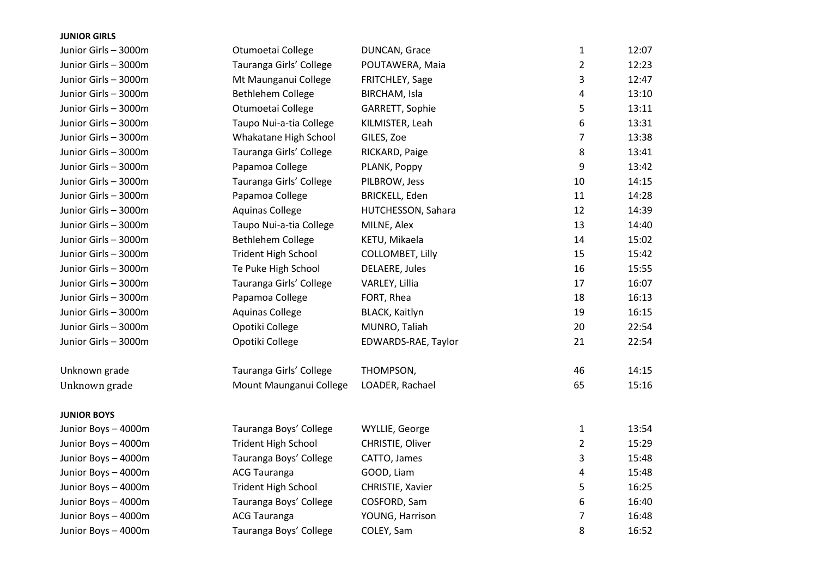| <b>JUNIOR GIRLS</b>  |                            |                       |                |       |
|----------------------|----------------------------|-----------------------|----------------|-------|
| Junior Girls - 3000m | Otumoetai College          | DUNCAN, Grace         | 1              | 12:07 |
| Junior Girls - 3000m | Tauranga Girls' College    | POUTAWERA, Maia       | $\overline{2}$ | 12:23 |
| Junior Girls - 3000m | Mt Maunganui College       | FRITCHLEY, Sage       | 3              | 12:47 |
| Junior Girls - 3000m | Bethlehem College          | BIRCHAM, Isla         | 4              | 13:10 |
| Junior Girls - 3000m | Otumoetai College          | GARRETT, Sophie       | 5              | 13:11 |
| Junior Girls - 3000m | Taupo Nui-a-tia College    | KILMISTER, Leah       | 6              | 13:31 |
| Junior Girls - 3000m | Whakatane High School      | GILES, Zoe            | 7              | 13:38 |
| Junior Girls - 3000m | Tauranga Girls' College    | RICKARD, Paige        | 8              | 13:41 |
| Junior Girls - 3000m | Papamoa College            | PLANK, Poppy          | 9              | 13:42 |
| Junior Girls - 3000m | Tauranga Girls' College    | PILBROW, Jess         | 10             | 14:15 |
| Junior Girls - 3000m | Papamoa College            | <b>BRICKELL, Eden</b> | 11             | 14:28 |
| Junior Girls - 3000m | <b>Aquinas College</b>     | HUTCHESSON, Sahara    | 12             | 14:39 |
| Junior Girls - 3000m | Taupo Nui-a-tia College    | MILNE, Alex           | 13             | 14:40 |
| Junior Girls - 3000m | <b>Bethlehem College</b>   | KETU, Mikaela         | 14             | 15:02 |
| Junior Girls - 3000m | <b>Trident High School</b> | COLLOMBET, Lilly      | 15             | 15:42 |
| Junior Girls - 3000m | Te Puke High School        | <b>DELAERE, Jules</b> | 16             | 15:55 |
| Junior Girls - 3000m | Tauranga Girls' College    | VARLEY, Lillia        | 17             | 16:07 |
| Junior Girls - 3000m | Papamoa College            | FORT, Rhea            | 18             | 16:13 |
| Junior Girls - 3000m | <b>Aquinas College</b>     | BLACK, Kaitlyn        | 19             | 16:15 |
| Junior Girls - 3000m | Opotiki College            | MUNRO, Taliah         | 20             | 22:54 |
| Junior Girls - 3000m | Opotiki College            | EDWARDS-RAE, Taylor   | 21             | 22:54 |
| Unknown grade        | Tauranga Girls' College    | THOMPSON,             | 46             | 14:15 |
| Unknown grade        | Mount Maunganui College    | LOADER, Rachael       | 65             | 15:16 |
| <b>JUNIOR BOYS</b>   |                            |                       |                |       |
| Junior Boys - 4000m  | Tauranga Boys' College     | WYLLIE, George        | $\mathbf{1}$   | 13:54 |
| Junior Boys - 4000m  | <b>Trident High School</b> | CHRISTIE, Oliver      | $\overline{2}$ | 15:29 |
| Junior Boys - 4000m  | Tauranga Boys' College     | CATTO, James          | 3              | 15:48 |
| Junior Boys - 4000m  | <b>ACG Tauranga</b>        | GOOD, Liam            | 4              | 15:48 |
| Junior Boys - 4000m  | <b>Trident High School</b> | CHRISTIE, Xavier      | 5              | 16:25 |
| Junior Boys - 4000m  | Tauranga Boys' College     | COSFORD, Sam          | 6              | 16:40 |
| Junior Boys - 4000m  | <b>ACG Tauranga</b>        | YOUNG, Harrison       | 7              | 16:48 |
| Junior Boys - 4000m  | Tauranga Boys' College     | COLEY, Sam            | 8              | 16:52 |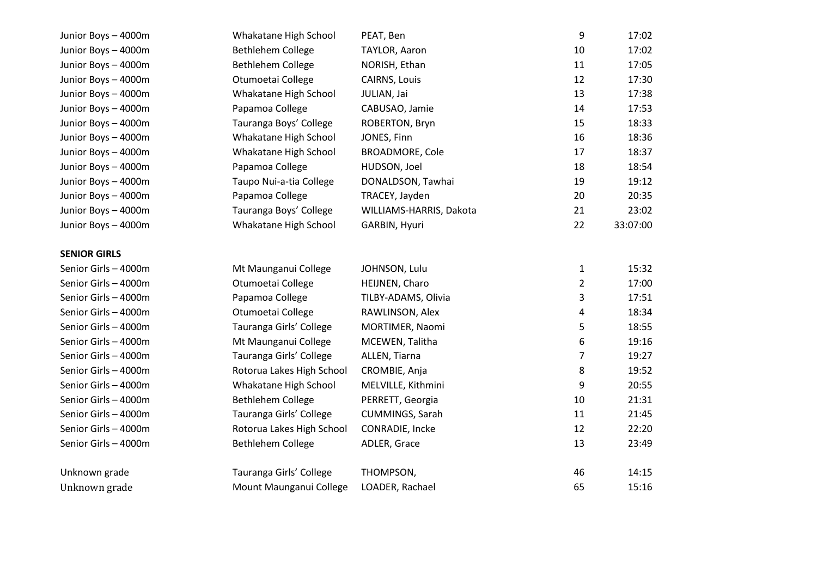| Junior Boys - 4000m  | Whakatane High School     | PEAT, Ben               | 9              | 17:02    |
|----------------------|---------------------------|-------------------------|----------------|----------|
| Junior Boys - 4000m  | Bethlehem College         | TAYLOR, Aaron           | 10             | 17:02    |
| Junior Boys - 4000m  | Bethlehem College         | NORISH, Ethan           | 11             | 17:05    |
| Junior Boys - 4000m  | Otumoetai College         | CAIRNS, Louis           | 12             | 17:30    |
| Junior Boys - 4000m  | Whakatane High School     | JULIAN, Jai             | 13             | 17:38    |
| Junior Boys - 4000m  | Papamoa College           | CABUSAO, Jamie          | 14             | 17:53    |
| Junior Boys - 4000m  | Tauranga Boys' College    | ROBERTON, Bryn          | 15             | 18:33    |
| Junior Boys - 4000m  | Whakatane High School     | JONES, Finn             | 16             | 18:36    |
| Junior Boys - 4000m  | Whakatane High School     | <b>BROADMORE, Cole</b>  | 17             | 18:37    |
| Junior Boys - 4000m  | Papamoa College           | HUDSON, Joel            | 18             | 18:54    |
| Junior Boys - 4000m  | Taupo Nui-a-tia College   | DONALDSON, Tawhai       | 19             | 19:12    |
| Junior Boys - 4000m  | Papamoa College           | TRACEY, Jayden          | 20             | 20:35    |
| Junior Boys - 4000m  | Tauranga Boys' College    | WILLIAMS-HARRIS, Dakota | 21             | 23:02    |
| Junior Boys - 4000m  | Whakatane High School     | GARBIN, Hyuri           | 22             | 33:07:00 |
|                      |                           |                         |                |          |
| <b>SENIOR GIRLS</b>  |                           |                         |                |          |
| Senior Girls - 4000m | Mt Maunganui College      | JOHNSON, Lulu           | $\mathbf{1}$   | 15:32    |
| Senior Girls - 4000m | Otumoetai College         | HEIJNEN, Charo          | $\overline{2}$ | 17:00    |
| Senior Girls - 4000m | Papamoa College           | TILBY-ADAMS, Olivia     | 3              | 17:51    |
| Senior Girls - 4000m | Otumoetai College         | RAWLINSON, Alex         | 4              | 18:34    |
| Senior Girls - 4000m | Tauranga Girls' College   | MORTIMER, Naomi         | 5              | 18:55    |
| Senior Girls - 4000m | Mt Maunganui College      | MCEWEN, Talitha         | 6              | 19:16    |
| Senior Girls - 4000m | Tauranga Girls' College   | ALLEN, Tiarna           | $\overline{7}$ | 19:27    |
| Senior Girls - 4000m | Rotorua Lakes High School | CROMBIE, Anja           | 8              | 19:52    |
| Senior Girls - 4000m | Whakatane High School     | MELVILLE, Kithmini      | 9              | 20:55    |
| Senior Girls - 4000m | Bethlehem College         | PERRETT, Georgia        | 10             | 21:31    |
| Senior Girls - 4000m | Tauranga Girls' College   | <b>CUMMINGS, Sarah</b>  | 11             | 21:45    |
| Senior Girls - 4000m | Rotorua Lakes High School | CONRADIE, Incke         | 12             | 22:20    |
| Senior Girls - 4000m | Bethlehem College         | ADLER, Grace            | 13             | 23:49    |
|                      |                           |                         |                |          |
| Unknown grade        | Tauranga Girls' College   | THOMPSON,               | 46             | 14:15    |
| Unknown grade        | Mount Maunganui College   | LOADER, Rachael         | 65             | 15:16    |
|                      |                           |                         |                |          |